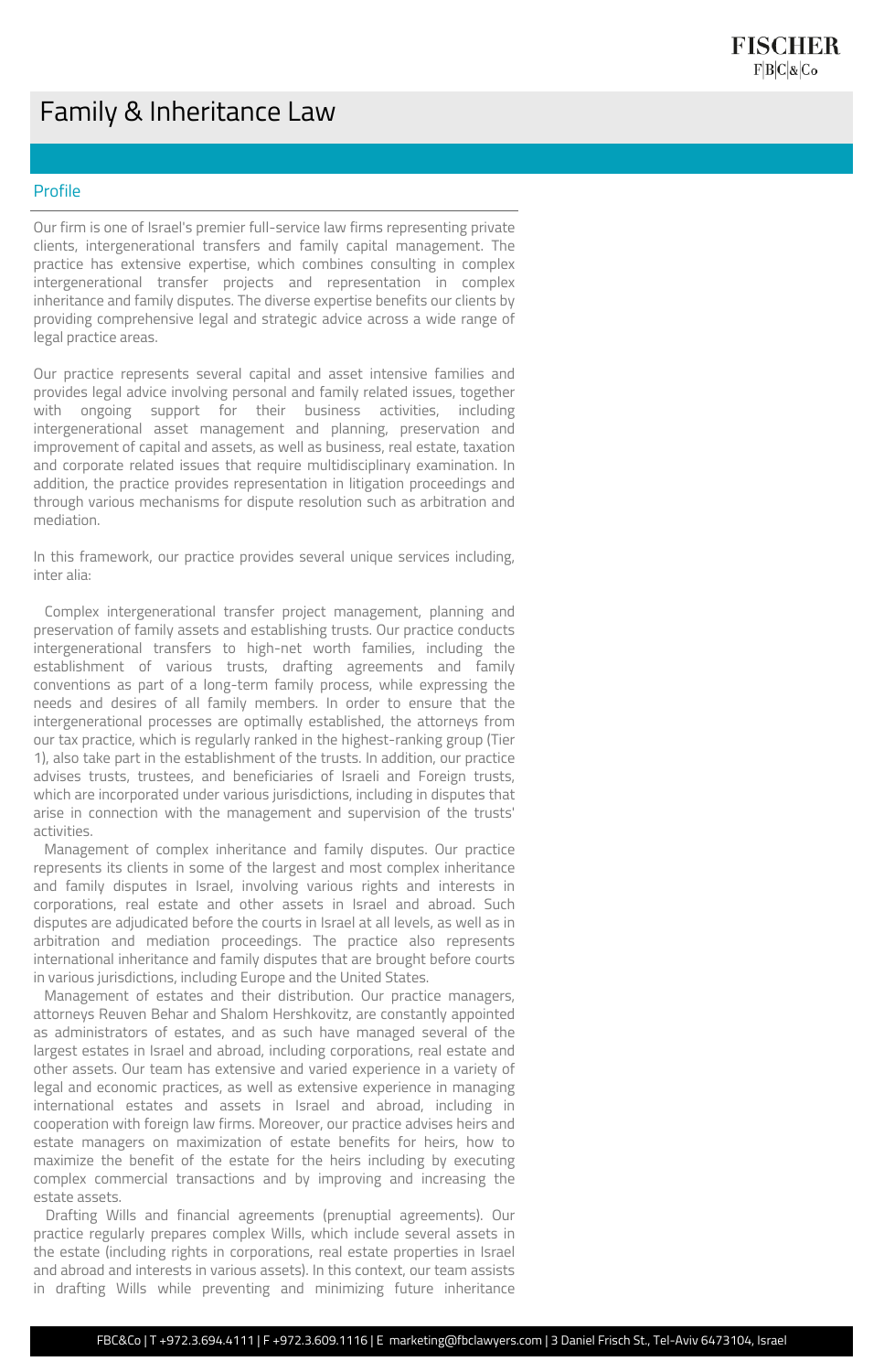## Family & Inheritance Law

## Profile

Our firm is one of Israel's premier full-service law firms representing private clients, intergenerational transfers and family capital management. The practice has extensive expertise, which combines consulting in complex intergenerational transfer projects and representation in complex inheritance and family disputes. The diverse expertise benefits our clients by providing comprehensive legal and strategic advice across a wide range of legal practice areas.

Our practice represents several capital and asset intensive families and provides legal advice involving personal and family related issues, together with ongoing support for their business activities, including intergenerational asset management and planning, preservation and improvement of capital and assets, as well as business, real estate, taxation and corporate related issues that require multidisciplinary examination. In addition, the practice provides representation in litigation proceedings and through various mechanisms for dispute resolution such as arbitration and mediation.

In this framework, our practice provides several unique services including, inter alia:

 Complex intergenerational transfer project management, planning and preservation of family assets and establishing trusts. Our practice conducts intergenerational transfers to high-net worth families, including the establishment of various trusts, drafting agreements and family conventions as part of a long-term family process, while expressing the needs and desires of all family members. In order to ensure that the intergenerational processes are optimally established, the attorneys from our tax practice, which is regularly ranked in the highest-ranking group (Tier 1), also take part in the establishment of the trusts. In addition, our practice advises trusts, trustees, and beneficiaries of Israeli and Foreign trusts, which are incorporated under various jurisdictions, including in disputes that arise in connection with the management and supervision of the trusts' activities.

 Management of complex inheritance and family disputes. Our practice represents its clients in some of the largest and most complex inheritance and family disputes in Israel, involving various rights and interests in corporations, real estate and other assets in Israel and abroad. Such disputes are adjudicated before the courts in Israel at all levels, as well as in arbitration and mediation proceedings. The practice also represents international inheritance and family disputes that are brought before courts

in various jurisdictions, including Europe and the United States.

 Management of estates and their distribution. Our practice managers, attorneys Reuven Behar and Shalom Hershkovitz, are constantly appointed as administrators of estates, and as such have managed several of the largest estates in Israel and abroad, including corporations, real estate and other assets. Our team has extensive and varied experience in a variety of legal and economic practices, as well as extensive experience in managing international estates and assets in Israel and abroad, including in cooperation with foreign law firms. Moreover, our practice advises heirs and estate managers on maximization of estate benefits for heirs, how to maximize the benefit of the estate for the heirs including by executing complex commercial transactions and by improving and increasing the estate assets.

 Drafting Wills and financial agreements (prenuptial agreements). Our practice regularly prepares complex Wills, which include several assets in the estate (including rights in corporations, real estate properties in Israel and abroad and interests in various assets). In this context, our team assists in drafting Wills while preventing and minimizing future inheritance

FBC&Co | T +972.3.694.4111 | F +972.3.609.1116 | E marketing@fbclawyers.com | 3 Daniel Frisch St., Tel-Aviv 6473104, Israel